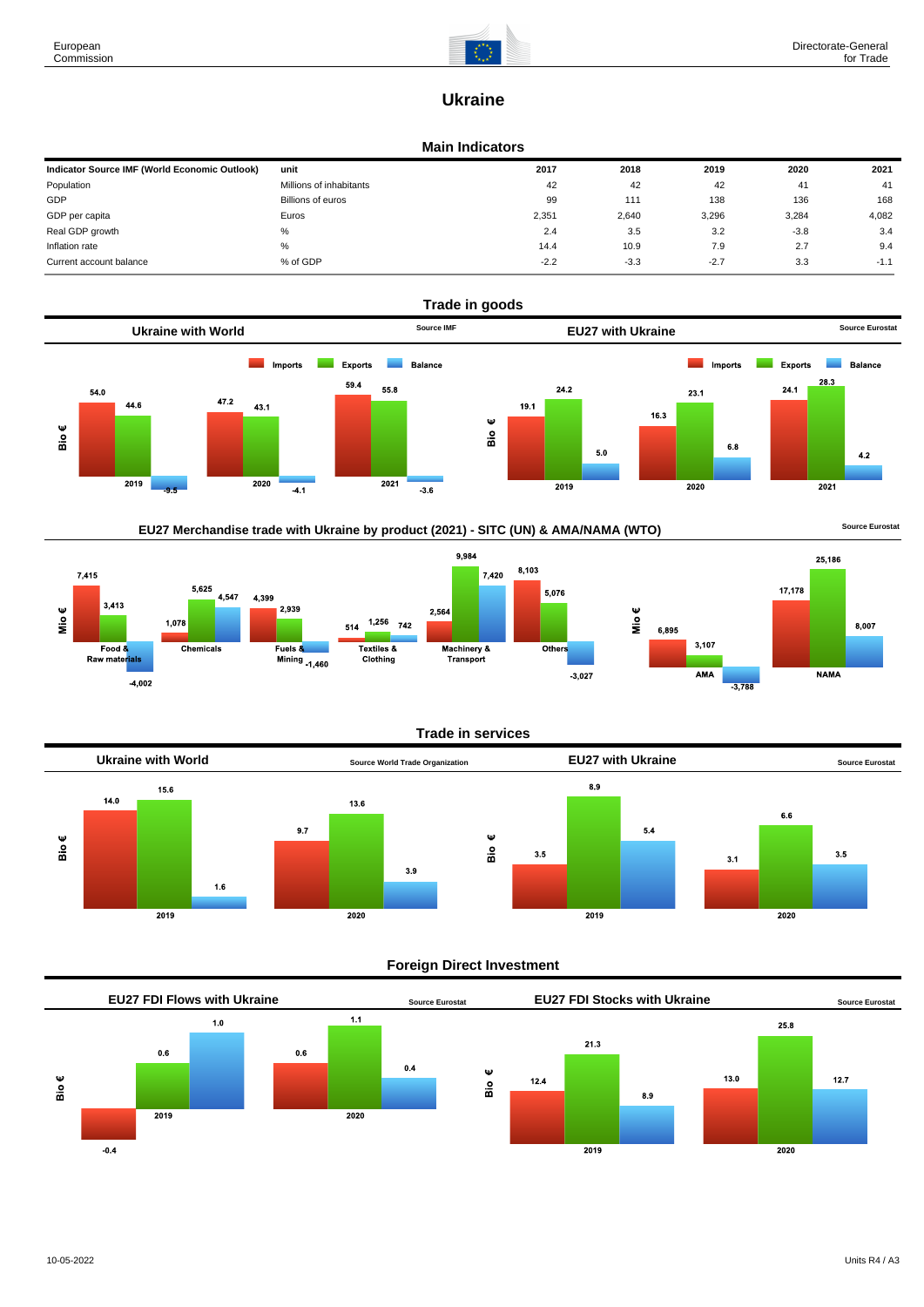

# **Ukraine**

#### **Main Indicators**

| Indicator Source IMF (World Economic Outlook) | unit                    | 2017   | 2018   | 2019   | 2020   | 2021   |
|-----------------------------------------------|-------------------------|--------|--------|--------|--------|--------|
| Population                                    | Millions of inhabitants | 42     | 42     | 42     | 41     | 41     |
| GDP                                           | Billions of euros       | 99     | 111    | 138    | 136    | 168    |
| GDP per capita                                | Euros                   | 2,351  | 2,640  | 3,296  | 3,284  | 4,082  |
| Real GDP growth                               | %                       | 2.4    | 3.5    | 3.2    | $-3.8$ | 3.4    |
| Inflation rate                                | %                       | 14.4   | 10.9   | 7.9    | 2.7    | 9.4    |
| Current account balance                       | % of GDP                | $-2.2$ | $-3.3$ | $-2.7$ | 3.3    | $-1.1$ |











**Trade in services**



# **Foreign Direct Investment**